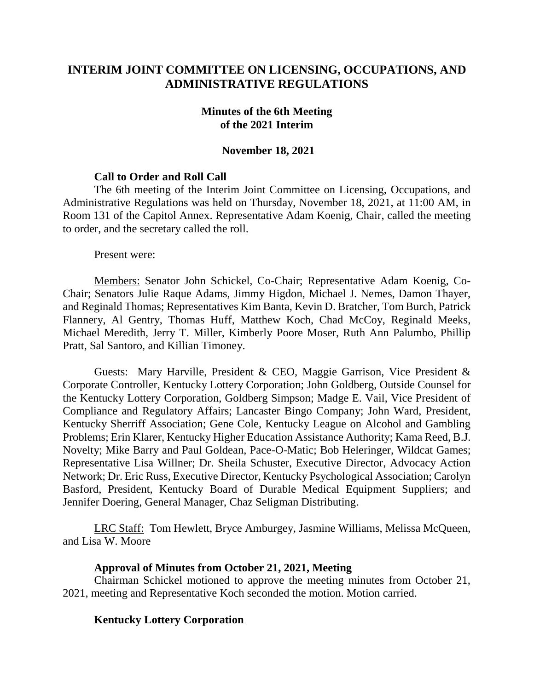# **INTERIM JOINT COMMITTEE ON LICENSING, OCCUPATIONS, AND ADMINISTRATIVE REGULATIONS**

#### **Minutes of the 6th Meeting of the 2021 Interim**

#### **November 18, 2021**

### **Call to Order and Roll Call**

The 6th meeting of the Interim Joint Committee on Licensing, Occupations, and Administrative Regulations was held on Thursday, November 18, 2021, at 11:00 AM, in Room 131 of the Capitol Annex. Representative Adam Koenig, Chair, called the meeting to order, and the secretary called the roll.

Present were:

Members: Senator John Schickel, Co-Chair; Representative Adam Koenig, Co-Chair; Senators Julie Raque Adams, Jimmy Higdon, Michael J. Nemes, Damon Thayer, and Reginald Thomas; Representatives Kim Banta, Kevin D. Bratcher, Tom Burch, Patrick Flannery, Al Gentry, Thomas Huff, Matthew Koch, Chad McCoy, Reginald Meeks, Michael Meredith, Jerry T. Miller, Kimberly Poore Moser, Ruth Ann Palumbo, Phillip Pratt, Sal Santoro, and Killian Timoney.

Guests: Mary Harville, President & CEO, Maggie Garrison, Vice President & Corporate Controller, Kentucky Lottery Corporation; John Goldberg, Outside Counsel for the Kentucky Lottery Corporation, Goldberg Simpson; Madge E. Vail, Vice President of Compliance and Regulatory Affairs; Lancaster Bingo Company; John Ward, President, Kentucky Sherriff Association; Gene Cole, Kentucky League on Alcohol and Gambling Problems; Erin Klarer, Kentucky Higher Education Assistance Authority; Kama Reed, B.J. Novelty; Mike Barry and Paul Goldean, Pace-O-Matic; Bob Heleringer, Wildcat Games; Representative Lisa Willner; Dr. Sheila Schuster, Executive Director, Advocacy Action Network; Dr. Eric Russ, Executive Director, Kentucky Psychological Association; Carolyn Basford, President, Kentucky Board of Durable Medical Equipment Suppliers; and Jennifer Doering, General Manager, Chaz Seligman Distributing.

LRC Staff: Tom Hewlett, Bryce Amburgey, Jasmine Williams, Melissa McQueen, and Lisa W. Moore

#### **Approval of Minutes from October 21, 2021, Meeting**

Chairman Schickel motioned to approve the meeting minutes from October 21, 2021, meeting and Representative Koch seconded the motion. Motion carried.

### **Kentucky Lottery Corporation**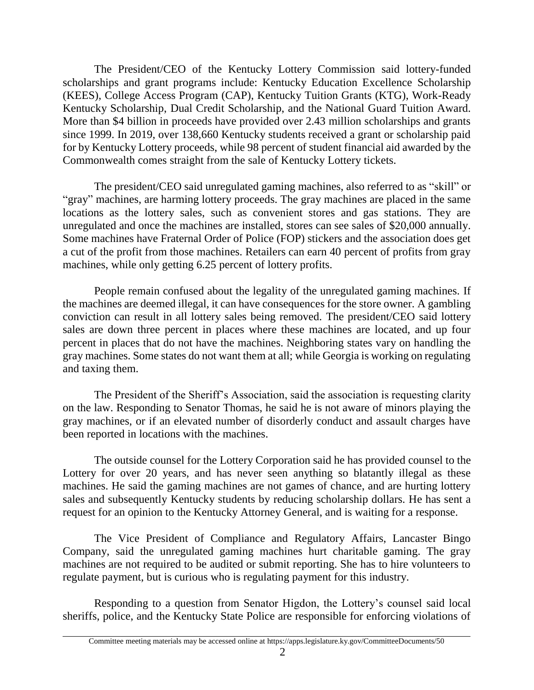The President/CEO of the Kentucky Lottery Commission said lottery-funded scholarships and grant programs include: Kentucky Education Excellence Scholarship (KEES), College Access Program (CAP), Kentucky Tuition Grants (KTG), Work-Ready Kentucky Scholarship, Dual Credit Scholarship, and the National Guard Tuition Award. More than \$4 billion in proceeds have provided over 2.43 million scholarships and grants since 1999. In 2019, over 138,660 Kentucky students received a grant or scholarship paid for by Kentucky Lottery proceeds, while 98 percent of student financial aid awarded by the Commonwealth comes straight from the sale of Kentucky Lottery tickets.

The president/CEO said unregulated gaming machines, also referred to as "skill" or "gray" machines, are harming lottery proceeds. The gray machines are placed in the same locations as the lottery sales, such as convenient stores and gas stations. They are unregulated and once the machines are installed, stores can see sales of \$20,000 annually. Some machines have Fraternal Order of Police (FOP) stickers and the association does get a cut of the profit from those machines. Retailers can earn 40 percent of profits from gray machines, while only getting 6.25 percent of lottery profits.

People remain confused about the legality of the unregulated gaming machines. If the machines are deemed illegal, it can have consequences for the store owner. A gambling conviction can result in all lottery sales being removed. The president/CEO said lottery sales are down three percent in places where these machines are located, and up four percent in places that do not have the machines. Neighboring states vary on handling the gray machines. Some states do not want them at all; while Georgia is working on regulating and taxing them.

The President of the Sheriff's Association, said the association is requesting clarity on the law. Responding to Senator Thomas, he said he is not aware of minors playing the gray machines, or if an elevated number of disorderly conduct and assault charges have been reported in locations with the machines.

The outside counsel for the Lottery Corporation said he has provided counsel to the Lottery for over 20 years, and has never seen anything so blatantly illegal as these machines. He said the gaming machines are not games of chance, and are hurting lottery sales and subsequently Kentucky students by reducing scholarship dollars. He has sent a request for an opinion to the Kentucky Attorney General, and is waiting for a response.

The Vice President of Compliance and Regulatory Affairs, Lancaster Bingo Company, said the unregulated gaming machines hurt charitable gaming. The gray machines are not required to be audited or submit reporting. She has to hire volunteers to regulate payment, but is curious who is regulating payment for this industry.

Responding to a question from Senator Higdon, the Lottery's counsel said local sheriffs, police, and the Kentucky State Police are responsible for enforcing violations of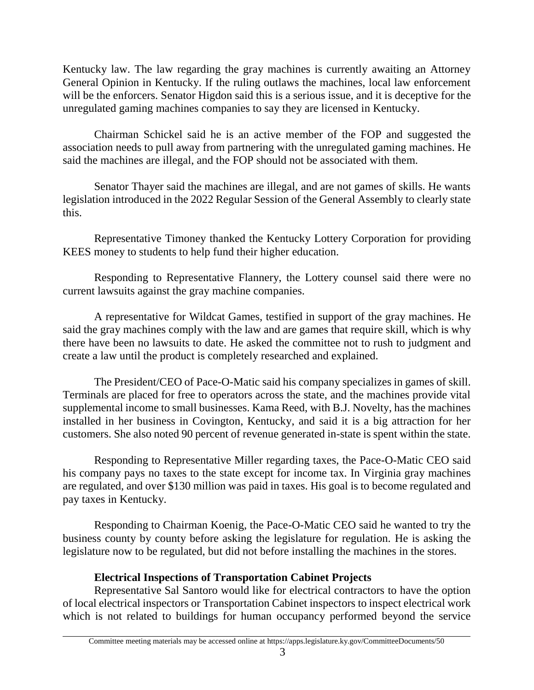Kentucky law. The law regarding the gray machines is currently awaiting an Attorney General Opinion in Kentucky. If the ruling outlaws the machines, local law enforcement will be the enforcers. Senator Higdon said this is a serious issue, and it is deceptive for the unregulated gaming machines companies to say they are licensed in Kentucky.

Chairman Schickel said he is an active member of the FOP and suggested the association needs to pull away from partnering with the unregulated gaming machines. He said the machines are illegal, and the FOP should not be associated with them.

Senator Thayer said the machines are illegal, and are not games of skills. He wants legislation introduced in the 2022 Regular Session of the General Assembly to clearly state this.

Representative Timoney thanked the Kentucky Lottery Corporation for providing KEES money to students to help fund their higher education.

Responding to Representative Flannery, the Lottery counsel said there were no current lawsuits against the gray machine companies.

A representative for Wildcat Games, testified in support of the gray machines. He said the gray machines comply with the law and are games that require skill, which is why there have been no lawsuits to date. He asked the committee not to rush to judgment and create a law until the product is completely researched and explained.

The President/CEO of Pace-O-Matic said his company specializes in games of skill. Terminals are placed for free to operators across the state, and the machines provide vital supplemental income to small businesses. Kama Reed, with B.J. Novelty, has the machines installed in her business in Covington, Kentucky, and said it is a big attraction for her customers. She also noted 90 percent of revenue generated in-state is spent within the state.

Responding to Representative Miller regarding taxes, the Pace-O-Matic CEO said his company pays no taxes to the state except for income tax. In Virginia gray machines are regulated, and over \$130 million was paid in taxes. His goal is to become regulated and pay taxes in Kentucky.

Responding to Chairman Koenig, the Pace-O-Matic CEO said he wanted to try the business county by county before asking the legislature for regulation. He is asking the legislature now to be regulated, but did not before installing the machines in the stores.

### **Electrical Inspections of Transportation Cabinet Projects**

Representative Sal Santoro would like for electrical contractors to have the option of local electrical inspectors or Transportation Cabinet inspectors to inspect electrical work which is not related to buildings for human occupancy performed beyond the service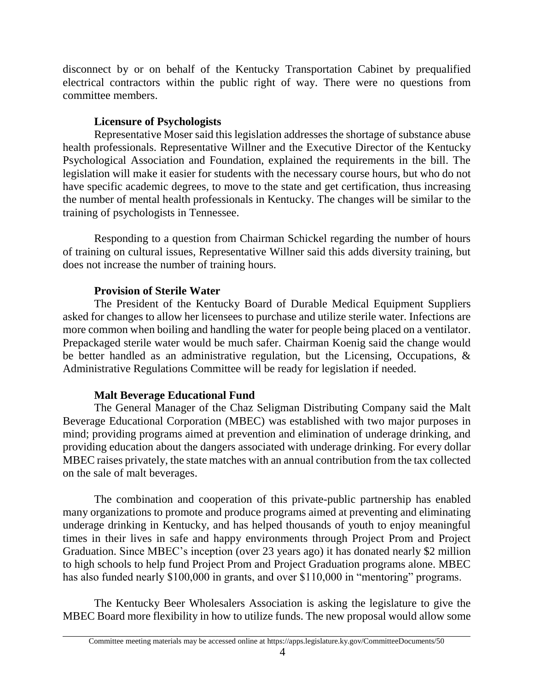disconnect by or on behalf of the Kentucky Transportation Cabinet by prequalified electrical contractors within the public right of way. There were no questions from committee members.

## **Licensure of Psychologists**

Representative Moser said this legislation addresses the shortage of substance abuse health professionals. Representative Willner and the Executive Director of the Kentucky Psychological Association and Foundation, explained the requirements in the bill. The legislation will make it easier for students with the necessary course hours, but who do not have specific academic degrees, to move to the state and get certification, thus increasing the number of mental health professionals in Kentucky. The changes will be similar to the training of psychologists in Tennessee.

Responding to a question from Chairman Schickel regarding the number of hours of training on cultural issues, Representative Willner said this adds diversity training, but does not increase the number of training hours.

## **Provision of Sterile Water**

The President of the Kentucky Board of Durable Medical Equipment Suppliers asked for changes to allow her licensees to purchase and utilize sterile water. Infections are more common when boiling and handling the water for people being placed on a ventilator. Prepackaged sterile water would be much safer. Chairman Koenig said the change would be better handled as an administrative regulation, but the Licensing, Occupations, & Administrative Regulations Committee will be ready for legislation if needed.

# **Malt Beverage Educational Fund**

The General Manager of the Chaz Seligman Distributing Company said the Malt Beverage Educational Corporation (MBEC) was established with two major purposes in mind; providing programs aimed at prevention and elimination of underage drinking, and providing education about the dangers associated with underage drinking. For every dollar MBEC raises privately, the state matches with an annual contribution from the tax collected on the sale of malt beverages.

The combination and cooperation of this private-public partnership has enabled many organizations to promote and produce programs aimed at preventing and eliminating underage drinking in Kentucky, and has helped thousands of youth to enjoy meaningful times in their lives in safe and happy environments through Project Prom and Project Graduation. Since MBEC's inception (over 23 years ago) it has donated nearly \$2 million to high schools to help fund Project Prom and Project Graduation programs alone. MBEC has also funded nearly \$100,000 in grants, and over \$110,000 in "mentoring" programs.

The Kentucky Beer Wholesalers Association is asking the legislature to give the MBEC Board more flexibility in how to utilize funds. The new proposal would allow some